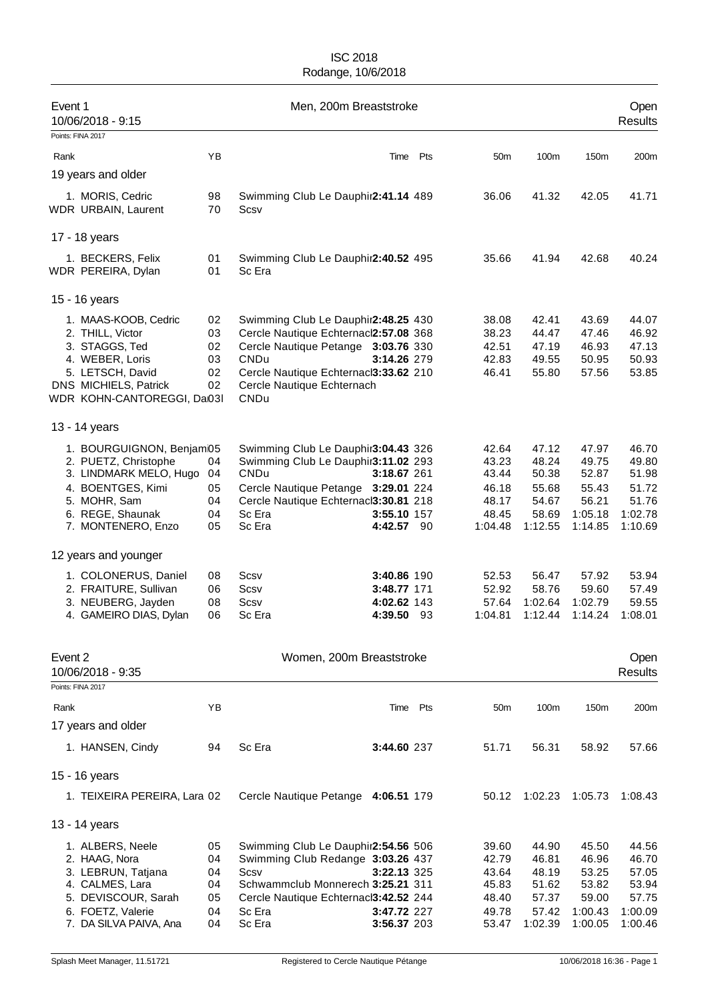| Event 1<br>10/06/2018 - 9:15<br>Points: FINA 2017                                                                                                         |                                        | Men, 200m Breaststroke                                                                                                                                                                                                   |                                                      |          |                                                               |                                                               |                                                                 | Open<br><b>Results</b>                                          |
|-----------------------------------------------------------------------------------------------------------------------------------------------------------|----------------------------------------|--------------------------------------------------------------------------------------------------------------------------------------------------------------------------------------------------------------------------|------------------------------------------------------|----------|---------------------------------------------------------------|---------------------------------------------------------------|-----------------------------------------------------------------|-----------------------------------------------------------------|
| Rank                                                                                                                                                      | YB                                     |                                                                                                                                                                                                                          | Time                                                 | Pts      | 50m                                                           | 100m                                                          | 150m                                                            | 200m                                                            |
| 19 years and older                                                                                                                                        |                                        |                                                                                                                                                                                                                          |                                                      |          |                                                               |                                                               |                                                                 |                                                                 |
| 1. MORIS, Cedric<br>WDR URBAIN, Laurent                                                                                                                   | 98<br>70                               | Swimming Club Le Dauphir2:41.14 489<br>Scsv                                                                                                                                                                              |                                                      |          | 36.06                                                         | 41.32                                                         | 42.05                                                           | 41.71                                                           |
| 17 - 18 years                                                                                                                                             |                                        |                                                                                                                                                                                                                          |                                                      |          |                                                               |                                                               |                                                                 |                                                                 |
| 1. BECKERS, Felix<br>WDR PEREIRA, Dylan                                                                                                                   | 01<br>01                               | Swimming Club Le Dauphir2:40.52 495<br>Sc Era                                                                                                                                                                            |                                                      |          | 35.66                                                         | 41.94                                                         | 42.68                                                           | 40.24                                                           |
| 15 - 16 years                                                                                                                                             |                                        |                                                                                                                                                                                                                          |                                                      |          |                                                               |                                                               |                                                                 |                                                                 |
| 1. MAAS-KOOB, Cedric<br>2. THILL, Victor<br>3. STAGGS, Ted<br>4. WEBER, Loris<br>5. LETSCH, David<br>DNS MICHIELS, Patrick<br>WDR KOHN-CANTOREGGI, Da03I  | 02<br>03<br>02<br>03<br>02<br>02       | Swimming Club Le Dauphir2:48.25 430<br>Cercle Nautique Echternacl2:57.08 368<br>Cercle Nautique Petange 3:03.76 330<br><b>CNDu</b><br>Cercle Nautique Echternacl3:33.62 210<br>Cercle Nautique Echternach<br><b>CNDu</b> | 3:14.26 279                                          |          | 38.08<br>38.23<br>42.51<br>42.83<br>46.41                     | 42.41<br>44.47<br>47.19<br>49.55<br>55.80                     | 43.69<br>47.46<br>46.93<br>50.95<br>57.56                       | 44.07<br>46.92<br>47.13<br>50.93<br>53.85                       |
| 13 - 14 years                                                                                                                                             |                                        |                                                                                                                                                                                                                          |                                                      |          |                                                               |                                                               |                                                                 |                                                                 |
| 1. BOURGUIGNON, Benjam05<br>2. PUETZ, Christophe<br>3. LINDMARK MELO, Hugo<br>4. BOENTGES, Kimi<br>5. MOHR, Sam<br>6. REGE, Shaunak<br>7. MONTENERO, Enzo | 04<br>04<br>05<br>04<br>04<br>05       | Swimming Club Le Dauphir3:04.43 326<br>Swimming Club Le Dauphir3:11.02 293<br>CNDu<br>Cercle Nautique Petange 3:29.01 224<br>Cercle Nautique Echternacl3:30.81 218<br>Sc Era<br>Sc Era                                   | 3:18.67 261<br>3:55.10 157<br><b>4:42.57</b> 90      |          | 42.64<br>43.23<br>43.44<br>46.18<br>48.17<br>48.45<br>1:04.48 | 47.12<br>48.24<br>50.38<br>55.68<br>54.67<br>58.69<br>1:12.55 | 47.97<br>49.75<br>52.87<br>55.43<br>56.21<br>1:05.18<br>1:14.85 | 46.70<br>49.80<br>51.98<br>51.72<br>51.76<br>1:02.78<br>1:10.69 |
| 12 years and younger                                                                                                                                      |                                        |                                                                                                                                                                                                                          |                                                      |          |                                                               |                                                               |                                                                 |                                                                 |
| 1. COLONERUS, Daniel<br>2. FRAITURE, Sullivan<br>3. NEUBERG, Jayden<br>4. GAMEIRO DIAS, Dylan                                                             | 08<br>06<br>08<br>06                   | Scsv<br>Scsv<br>Scsv<br>Sc Era                                                                                                                                                                                           | 3:40.86 190<br>3:48.77 171<br>4:02.62 143<br>4:39.50 | 93       | 52.53<br>52.92<br>57.64<br>1:04.81                            | 56.47<br>58.76<br>1:02.64<br>1:12.44                          | 57.92<br>59.60<br>1:02.79<br>1:14.24                            | 53.94<br>57.49<br>59.55<br>1:08.01                              |
| Event 2<br>10/06/2018 - 9:35                                                                                                                              |                                        | Women, 200m Breaststroke                                                                                                                                                                                                 |                                                      |          |                                                               |                                                               |                                                                 | Open<br><b>Results</b>                                          |
| Points: FINA 2017                                                                                                                                         |                                        |                                                                                                                                                                                                                          |                                                      |          |                                                               |                                                               |                                                                 |                                                                 |
| Rank                                                                                                                                                      | YB                                     |                                                                                                                                                                                                                          |                                                      | Time Pts | 50 <sub>m</sub>                                               | 100m                                                          | 150m                                                            | 200m                                                            |
| 17 years and older                                                                                                                                        |                                        |                                                                                                                                                                                                                          |                                                      |          |                                                               |                                                               |                                                                 |                                                                 |
| 1. HANSEN, Cindy                                                                                                                                          | 94                                     | Sc Era                                                                                                                                                                                                                   | 3:44.60 237                                          |          | 51.71                                                         | 56.31                                                         | 58.92                                                           | 57.66                                                           |
| 15 - 16 years                                                                                                                                             |                                        |                                                                                                                                                                                                                          |                                                      |          |                                                               |                                                               |                                                                 |                                                                 |
| 1. TEIXEIRA PEREIRA, Lara 02                                                                                                                              |                                        | Cercle Nautique Petange 4:06.51 179                                                                                                                                                                                      |                                                      |          | 50.12                                                         | 1:02.23                                                       | 1:05.73                                                         | 1:08.43                                                         |
| 13 - 14 years                                                                                                                                             |                                        |                                                                                                                                                                                                                          |                                                      |          |                                                               |                                                               |                                                                 |                                                                 |
| 1. ALBERS, Neele<br>2. HAAG, Nora<br>3. LEBRUN, Tatjana<br>4. CALMES, Lara<br>5. DEVISCOUR, Sarah<br>6. FOETZ, Valerie<br>7. DA SILVA PAIVA, Ana          | 05<br>04<br>04<br>04<br>05<br>04<br>04 | Swimming Club Le Dauphir2:54.56 506<br>Swimming Club Redange 3:03.26 437<br>Scsv<br>Schwammclub Monnerech 3:25.21 311<br>Cercle Nautique Echternacl3:42.52 244<br>Sc Era<br>Sc Era                                       | 3:22.13 325<br>3:47.72 227<br>3:56.37 203            |          | 39.60<br>42.79<br>43.64<br>45.83<br>48.40<br>49.78<br>53.47   | 44.90<br>46.81<br>48.19<br>51.62<br>57.37<br>57.42<br>1:02.39 | 45.50<br>46.96<br>53.25<br>53.82<br>59.00<br>1:00.43<br>1:00.05 | 44.56<br>46.70<br>57.05<br>53.94<br>57.75<br>1:00.09<br>1:00.46 |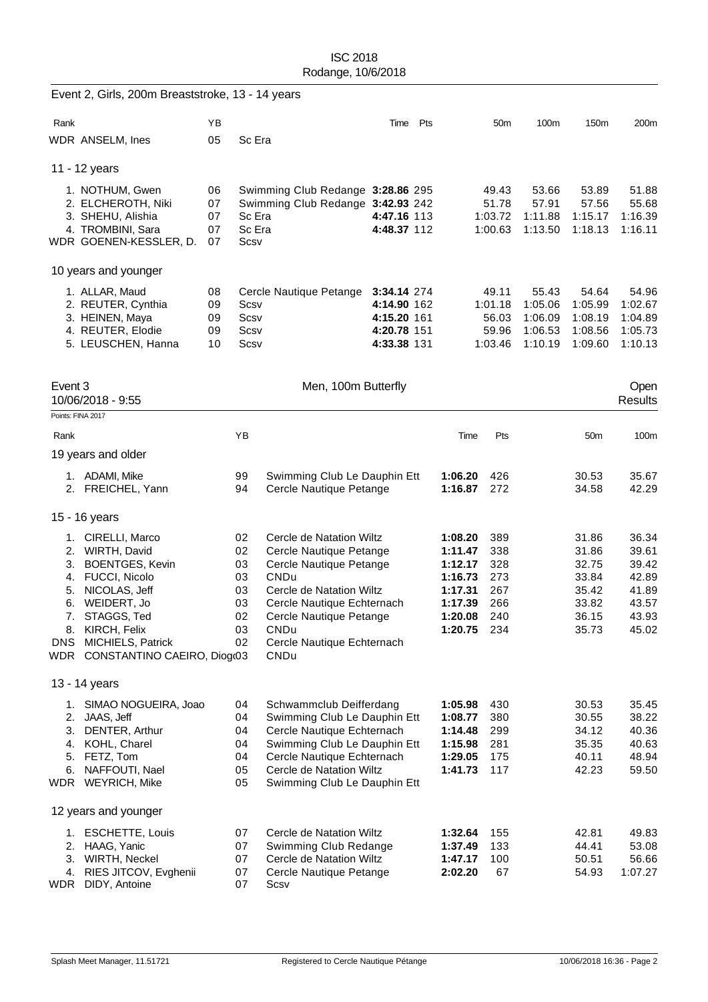| 200m<br>51.88<br>55.68<br>1:16.39<br>1:16.11 |
|----------------------------------------------|
|                                              |
|                                              |
|                                              |
|                                              |
|                                              |
|                                              |
|                                              |
|                                              |
| 54.96                                        |
| 1:02.67                                      |
| 1:04.89<br>1:05.73                           |
| 1:10.13                                      |
|                                              |
| Open                                         |
| <b>Results</b>                               |
|                                              |
| 100m                                         |
|                                              |
| 35.67<br>42.29                               |
|                                              |
| 36.34                                        |
| 39.61                                        |
| 39.42                                        |
| 42.89<br>41.89                               |
| 43.57                                        |
| 43.93                                        |
| 45.02                                        |
|                                              |
|                                              |
|                                              |
| 35.45                                        |
| 38.22                                        |
| 40.36<br>40.63                               |
| 48.94                                        |
| 59.50                                        |
|                                              |
|                                              |
| 49.83                                        |
| 53.08                                        |
| 56.66                                        |
| 1:07.27                                      |
|                                              |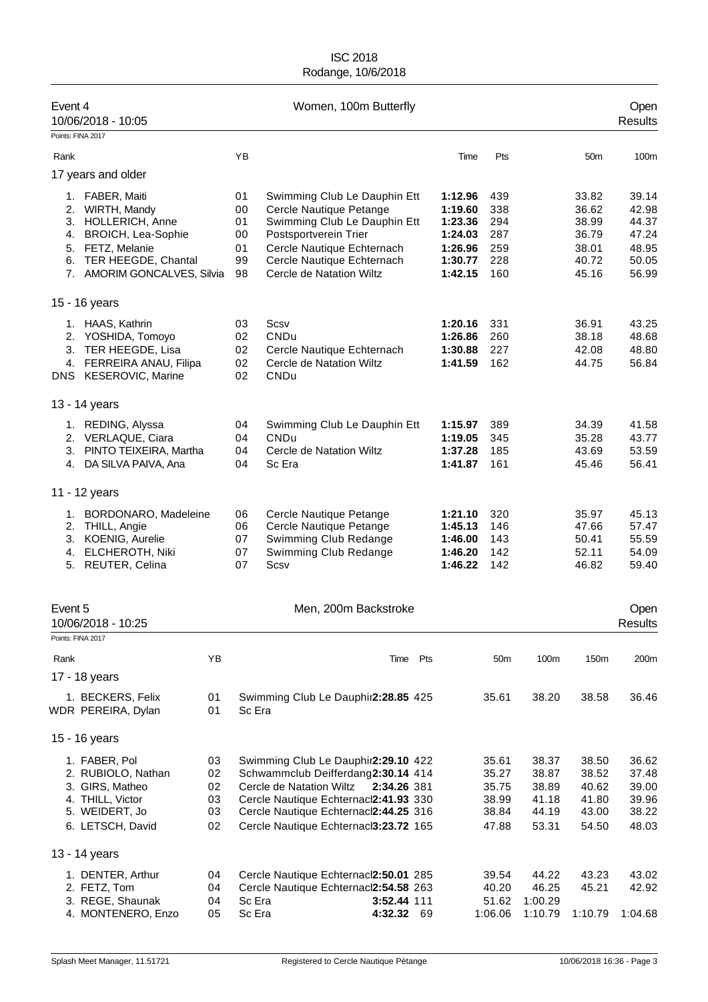| Event 4                      | 10/06/2018 - 10:05                                                                                                                                                 |                                  |                                        | Women, 100m Butterfly                                                                                                                                                                                                                           |                                                                           |                                                    |                                                    |                                                             | Open<br><b>Results</b>                                      |
|------------------------------|--------------------------------------------------------------------------------------------------------------------------------------------------------------------|----------------------------------|----------------------------------------|-------------------------------------------------------------------------------------------------------------------------------------------------------------------------------------------------------------------------------------------------|---------------------------------------------------------------------------|----------------------------------------------------|----------------------------------------------------|-------------------------------------------------------------|-------------------------------------------------------------|
| Points: FINA 2017            |                                                                                                                                                                    |                                  |                                        |                                                                                                                                                                                                                                                 |                                                                           |                                                    |                                                    |                                                             |                                                             |
| Rank                         |                                                                                                                                                                    |                                  | YB                                     |                                                                                                                                                                                                                                                 | Time                                                                      | Pts                                                |                                                    | 50m                                                         | 100m                                                        |
|                              | 17 years and older                                                                                                                                                 |                                  |                                        |                                                                                                                                                                                                                                                 |                                                                           |                                                    |                                                    |                                                             |                                                             |
| 4.                           | 1. FABER, Maiti<br>2. WIRTH, Mandy<br>3. HOLLERICH, Anne<br><b>BROICH, Lea-Sophie</b><br>5. FETZ, Melanie<br>6. TER HEEGDE, Chantal<br>7. AMORIM GONCALVES, Silvia |                                  | 01<br>00<br>01<br>00<br>01<br>99<br>98 | Swimming Club Le Dauphin Ett<br>Cercle Nautique Petange<br>Swimming Club Le Dauphin Ett<br>Postsportverein Trier<br>Cercle Nautique Echternach<br>Cercle Nautique Echternach<br>Cercle de Natation Wiltz                                        | 1:12.96<br>1:19.60<br>1:23.36<br>1:24.03<br>1:26.96<br>1:30.77<br>1:42.15 | 439<br>338<br>294<br>287<br>259<br>228<br>160      |                                                    | 33.82<br>36.62<br>38.99<br>36.79<br>38.01<br>40.72<br>45.16 | 39.14<br>42.98<br>44.37<br>47.24<br>48.95<br>50.05<br>56.99 |
|                              | 15 - 16 years                                                                                                                                                      |                                  |                                        |                                                                                                                                                                                                                                                 |                                                                           |                                                    |                                                    |                                                             |                                                             |
|                              | 1. HAAS, Kathrin<br>2. YOSHIDA, Tomoyo<br>3. TER HEEGDE, Lisa<br>4. FERREIRA ANAU, Filipa<br>DNS KESEROVIC, Marine                                                 |                                  | 03<br>02<br>02<br>02<br>02             | Scsv<br>CNDu<br>Cercle Nautique Echternach<br>Cercle de Natation Wiltz<br><b>CNDu</b>                                                                                                                                                           | 1:20.16<br>1:26.86<br>1:30.88<br>1:41.59                                  | 331<br>260<br>227<br>162                           |                                                    | 36.91<br>38.18<br>42.08<br>44.75                            | 43.25<br>48.68<br>48.80<br>56.84                            |
|                              | 13 - 14 years                                                                                                                                                      |                                  |                                        |                                                                                                                                                                                                                                                 |                                                                           |                                                    |                                                    |                                                             |                                                             |
|                              | 1. REDING, Alyssa<br>2. VERLAQUE, Ciara<br>3. PINTO TEIXEIRA, Martha<br>4. DA SILVA PAIVA, Ana                                                                     |                                  | 04<br>04<br>04<br>04                   | Swimming Club Le Dauphin Ett<br><b>CNDu</b><br>Cercle de Natation Wiltz<br>Sc Era                                                                                                                                                               | 1:15.97<br>1:19.05<br>1:37.28<br>1:41.87                                  | 389<br>345<br>185<br>161                           |                                                    | 34.39<br>35.28<br>43.69<br>45.46                            | 41.58<br>43.77<br>53.59<br>56.41                            |
|                              | 11 - 12 years                                                                                                                                                      |                                  |                                        |                                                                                                                                                                                                                                                 |                                                                           |                                                    |                                                    |                                                             |                                                             |
| 3.                           | 1. BORDONARO, Madeleine<br>2. THILL, Angie<br><b>KOENIG, Aurelie</b><br>4. ELCHEROTH, Niki<br>5. REUTER, Celina                                                    |                                  | 06<br>06<br>07<br>07<br>07             | Cercle Nautique Petange<br>Cercle Nautique Petange<br>Swimming Club Redange<br>Swimming Club Redange<br>Scsv                                                                                                                                    | 1:21.10<br>1:45.13<br>1:46.00<br>1:46.20<br>1:46.22                       | 320<br>146<br>143<br>142<br>142                    |                                                    | 35.97<br>47.66<br>50.41<br>52.11<br>46.82                   | 45.13<br>57.47<br>55.59<br>54.09<br>59.40                   |
| Event 5<br>Points: FINA 2017 | 10/06/2018 - 10:25                                                                                                                                                 |                                  |                                        | Men, 200m Backstroke                                                                                                                                                                                                                            |                                                                           |                                                    |                                                    |                                                             | Open<br>Results                                             |
|                              |                                                                                                                                                                    |                                  |                                        |                                                                                                                                                                                                                                                 |                                                                           |                                                    |                                                    |                                                             |                                                             |
| Rank                         | 17 - 18 years                                                                                                                                                      | YB                               |                                        | Pts<br>Time                                                                                                                                                                                                                                     |                                                                           | 50 <sub>m</sub>                                    | 100m                                               | 150m                                                        | 200m                                                        |
|                              | 1. BECKERS, Felix<br>WDR PEREIRA, Dylan                                                                                                                            | 01<br>01                         | Sc Era                                 | Swimming Club Le Dauphir2:28.85 425                                                                                                                                                                                                             |                                                                           | 35.61                                              | 38.20                                              | 38.58                                                       | 36.46                                                       |
|                              | 15 - 16 years                                                                                                                                                      |                                  |                                        |                                                                                                                                                                                                                                                 |                                                                           |                                                    |                                                    |                                                             |                                                             |
|                              | 1. FABER, Pol<br>2. RUBIOLO, Nathan<br>3. GIRS, Matheo<br>4. THILL, Victor<br>5. WEIDERT, Jo<br>6. LETSCH, David                                                   | 03<br>02<br>02<br>03<br>03<br>02 |                                        | Swimming Club Le Dauphir2:29.10 422<br>Schwammclub Deifferdang2:30.14 414<br>Cercle de Natation Wiltz<br>2:34.26 381<br>Cercle Nautique Echternacl2:41.93 330<br>Cercle Nautique Echternacl2:44.25 316<br>Cercle Nautique Echternacl3:23.72 165 |                                                                           | 35.61<br>35.27<br>35.75<br>38.99<br>38.84<br>47.88 | 38.37<br>38.87<br>38.89<br>41.18<br>44.19<br>53.31 | 38.50<br>38.52<br>40.62<br>41.80<br>43.00<br>54.50          | 36.62<br>37.48<br>39.00<br>39.96<br>38.22<br>48.03          |
|                              | 13 - 14 years                                                                                                                                                      |                                  |                                        |                                                                                                                                                                                                                                                 |                                                                           |                                                    |                                                    |                                                             |                                                             |
|                              | 1. DENTER, Arthur<br>2. FETZ, Tom<br>3. REGE, Shaunak<br>4. MONTENERO, Enzo                                                                                        | 04<br>04<br>04<br>05             | Sc Era<br>Sc Era                       | Cercle Nautique Echternacl2:50.01 285<br>Cercle Nautique Echternacl2:54.58 263<br>3:52.44 111<br>4:32.32 69                                                                                                                                     |                                                                           | 39.54<br>40.20<br>51.62<br>1:06.06                 | 44.22<br>46.25<br>1:00.29<br>1:10.79               | 43.23<br>45.21<br>1:10.79                                   | 43.02<br>42.92<br>1:04.68                                   |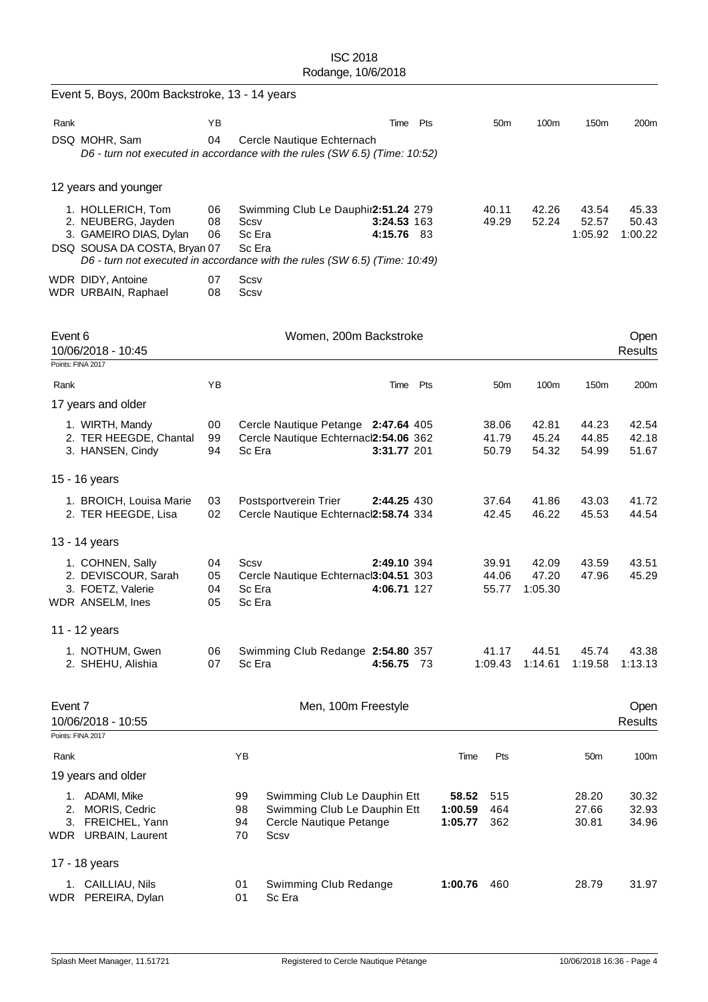|         | Event 5, Boys, 200m Backstroke, 13 - 14 years                                                                                                                                   |                      |                          |                                                                                                 |                            |     |                             |                         |                           |                           |                           |
|---------|---------------------------------------------------------------------------------------------------------------------------------------------------------------------------------|----------------------|--------------------------|-------------------------------------------------------------------------------------------------|----------------------------|-----|-----------------------------|-------------------------|---------------------------|---------------------------|---------------------------|
| Rank    |                                                                                                                                                                                 | YB                   |                          |                                                                                                 | Time                       | Pts |                             | 50 <sub>m</sub>         | 100m                      | 150m                      | 200m                      |
|         | DSQ MOHR, Sam<br>D6 - turn not executed in accordance with the rules (SW 6.5) (Time: 10:52)                                                                                     | 04                   |                          | Cercle Nautique Echternach                                                                      |                            |     |                             |                         |                           |                           |                           |
|         | 12 years and younger                                                                                                                                                            |                      |                          |                                                                                                 |                            |     |                             |                         |                           |                           |                           |
|         | 1. HOLLERICH, Tom<br>2. NEUBERG, Jayden<br>3. GAMEIRO DIAS, Dylan<br>DSQ SOUSA DA COSTA, Bryan 07<br>D6 - turn not executed in accordance with the rules (SW 6.5) (Time: 10:49) | 06<br>08<br>06       | Scsv<br>Sc Era<br>Sc Era | Swimming Club Le Dauphir2:51.24 279                                                             | 3:24.53 163<br>4:15.76 83  |     |                             | 40.11<br>49.29          | 42.26<br>52.24            | 43.54<br>52.57<br>1:05.92 | 45.33<br>50.43<br>1:00.22 |
|         | WDR DIDY, Antoine<br>WDR URBAIN, Raphael                                                                                                                                        | 07<br>08             | Scsv<br>Scsv             |                                                                                                 |                            |     |                             |                         |                           |                           |                           |
| Event 6 | 10/06/2018 - 10:45<br>Points: FINA 2017                                                                                                                                         |                      |                          | Women, 200m Backstroke                                                                          |                            |     |                             |                         |                           |                           | Open<br><b>Results</b>    |
| Rank    |                                                                                                                                                                                 | YB                   |                          |                                                                                                 | Time Pts                   |     |                             | 50 <sub>m</sub>         | 100m                      | 150m                      | 200m                      |
|         | 17 years and older                                                                                                                                                              |                      |                          |                                                                                                 |                            |     |                             |                         |                           |                           |                           |
|         | 1. WIRTH, Mandy<br>2. TER HEEGDE, Chantal<br>3. HANSEN, Cindy                                                                                                                   | 00<br>99<br>94       | Sc Era                   | Cercle Nautique Petange 2:47.64 405<br>Cercle Nautique Echternacl2:54.06 362                    | 3:31.77 201                |     |                             | 38.06<br>41.79<br>50.79 | 42.81<br>45.24<br>54.32   | 44.23<br>44.85<br>54.99   | 42.54<br>42.18<br>51.67   |
|         | 15 - 16 years                                                                                                                                                                   |                      |                          |                                                                                                 |                            |     |                             |                         |                           |                           |                           |
|         | 1. BROICH, Louisa Marie<br>2. TER HEEGDE, Lisa                                                                                                                                  | 03<br>02             |                          | Postsportverein Trier<br>Cercle Nautique Echternacl2:58.74 334                                  | 2:44.25 430                |     |                             | 37.64<br>42.45          | 41.86<br>46.22            | 43.03<br>45.53            | 41.72<br>44.54            |
|         | 13 - 14 years                                                                                                                                                                   |                      |                          |                                                                                                 |                            |     |                             |                         |                           |                           |                           |
|         | 1. COHNEN, Sally<br>2. DEVISCOUR, Sarah<br>3. FOETZ, Valerie<br>WDR ANSELM, Ines                                                                                                | 04<br>05<br>04<br>05 | Scsv<br>Sc Era<br>Sc Era | Cercle Nautique Echternacl3:04.51 303                                                           | 2:49.10 394<br>4:06.71 127 |     |                             | 39.91<br>44.06<br>55.77 | 42.09<br>47.20<br>1:05.30 | 43.59<br>47.96            | 43.51<br>45.29            |
|         | 11 - 12 years                                                                                                                                                                   |                      |                          |                                                                                                 |                            |     |                             |                         |                           |                           |                           |
|         | 1. NOTHUM, Gwen<br>2. SHEHU, Alishia                                                                                                                                            | 06<br>07             | Sc Era                   | Swimming Club Redange 2:54.80 357                                                               | 4:56.75 73                 |     |                             | 41.17<br>1:09.43        | 44.51<br>1:14.61          | 45.74<br>1:19.58          | 43.38<br>1:13.13          |
| Event 7 | 10/06/2018 - 10:55                                                                                                                                                              |                      |                          | Men, 100m Freestyle                                                                             |                            |     |                             |                         |                           |                           | Open<br><b>Results</b>    |
| Rank    | Points: FINA 2017                                                                                                                                                               |                      | YB                       |                                                                                                 |                            |     | Time                        | Pts                     |                           | 50 <sub>m</sub>           | 100m                      |
|         | 19 years and older                                                                                                                                                              |                      |                          |                                                                                                 |                            |     |                             |                         |                           |                           |                           |
|         | 1. ADAMI, Mike<br>2. MORIS, Cedric<br>3. FREICHEL, Yann<br>WDR URBAIN, Laurent                                                                                                  |                      | 99<br>98<br>94<br>70     | Swimming Club Le Dauphin Ett<br>Swimming Club Le Dauphin Ett<br>Cercle Nautique Petange<br>Scsv |                            |     | 58.52<br>1:00.59<br>1:05.77 | 515<br>464<br>362       |                           | 28.20<br>27.66<br>30.81   | 30.32<br>32.93<br>34.96   |
|         | 17 - 18 years                                                                                                                                                                   |                      |                          |                                                                                                 |                            |     |                             |                         |                           |                           |                           |
|         | 1. CAILLIAU, Nils<br>WDR PEREIRA, Dylan                                                                                                                                         |                      | 01<br>01                 | Swimming Club Redange<br>Sc Era                                                                 |                            |     | 1:00.76                     | 460                     |                           | 28.79                     | 31.97                     |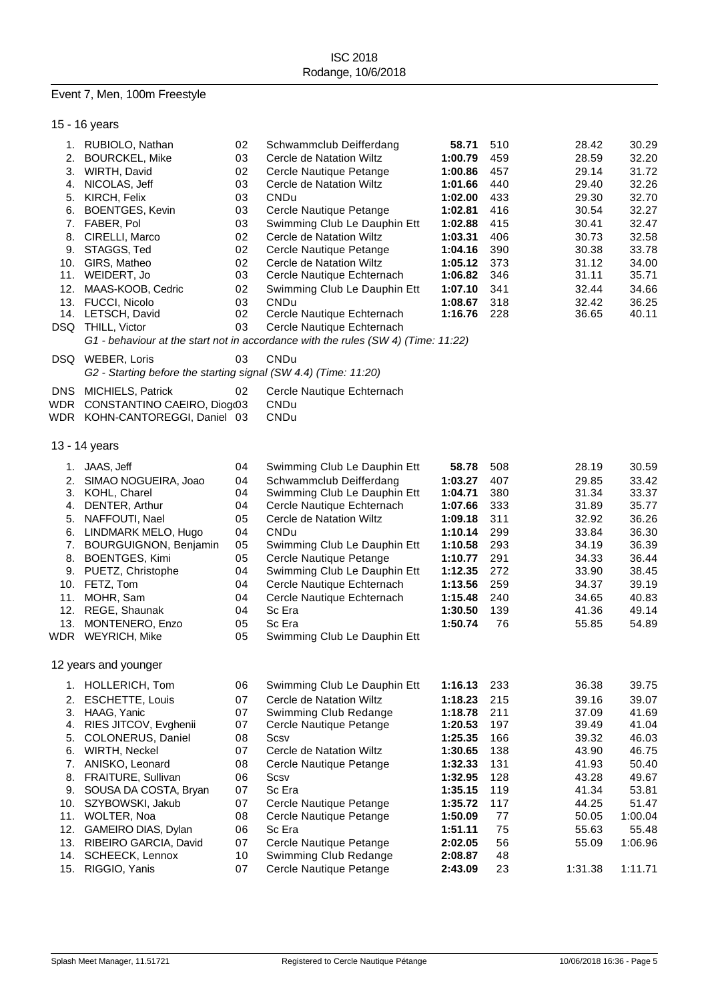# Event 7, Men, 100m Freestyle

|            | 15 - 16 years                                                   |    |                                                                                   |         |     |         |         |
|------------|-----------------------------------------------------------------|----|-----------------------------------------------------------------------------------|---------|-----|---------|---------|
|            | 1. RUBIOLO, Nathan                                              | 02 | Schwammclub Deifferdang                                                           | 58.71   | 510 | 28.42   | 30.29   |
| 2.         | <b>BOURCKEL, Mike</b>                                           | 03 | Cercle de Natation Wiltz                                                          | 1:00.79 | 459 | 28.59   | 32.20   |
|            | 3. WIRTH, David                                                 | 02 | Cercle Nautique Petange                                                           | 1:00.86 | 457 | 29.14   | 31.72   |
|            | 4. NICOLAS, Jeff                                                | 03 | Cercle de Natation Wiltz                                                          | 1:01.66 | 440 | 29.40   | 32.26   |
| 5.         | KIRCH, Felix                                                    | 03 | CNDu                                                                              | 1:02.00 | 433 | 29.30   | 32.70   |
| 6.         | <b>BOENTGES, Kevin</b>                                          | 03 | Cercle Nautique Petange                                                           | 1:02.81 | 416 | 30.54   | 32.27   |
|            | 7. FABER, Pol                                                   | 03 | Swimming Club Le Dauphin Ett                                                      | 1:02.88 | 415 | 30.41   | 32.47   |
| 8.         | CIRELLI, Marco                                                  | 02 | Cercle de Natation Wiltz                                                          | 1:03.31 | 406 | 30.73   | 32.58   |
|            | 9. STAGGS, Ted                                                  | 02 | Cercle Nautique Petange                                                           | 1:04.16 | 390 | 30.38   | 33.78   |
| 10.        | GIRS, Matheo                                                    | 02 | Cercle de Natation Wiltz                                                          | 1:05.12 | 373 | 31.12   | 34.00   |
|            | 11. WEIDERT, Jo                                                 | 03 | Cercle Nautique Echternach                                                        | 1:06.82 | 346 | 31.11   | 35.71   |
| 12.        | MAAS-KOOB, Cedric                                               | 02 | Swimming Club Le Dauphin Ett                                                      | 1:07.10 | 341 | 32.44   | 34.66   |
|            | 13. FUCCI, Nicolo                                               | 03 | CNDu                                                                              | 1:08.67 | 318 | 32.42   | 36.25   |
|            | 14. LETSCH, David                                               | 02 | Cercle Nautique Echternach                                                        | 1:16.76 | 228 | 36.65   | 40.11   |
|            | DSQ THILL, Victor                                               | 03 | Cercle Nautique Echternach                                                        |         |     |         |         |
|            |                                                                 |    | G1 - behaviour at the start not in accordance with the rules (SW 4) (Time: 11:22) |         |     |         |         |
|            | DSQ WEBER, Loris                                                | 03 | CNDu                                                                              |         |     |         |         |
|            | G2 - Starting before the starting signal (SW 4.4) (Time: 11:20) |    |                                                                                   |         |     |         |         |
| <b>DNS</b> | <b>MICHIELS, Patrick</b>                                        | 02 | Cercle Nautique Echternach                                                        |         |     |         |         |
|            | WDR CONSTANTINO CAEIRO, Diogo3                                  |    | <b>CNDu</b>                                                                       |         |     |         |         |
|            | WDR KOHN-CANTOREGGI, Daniel 03                                  |    | <b>CNDu</b>                                                                       |         |     |         |         |
|            |                                                                 |    |                                                                                   |         |     |         |         |
|            | 13 - 14 years                                                   |    |                                                                                   |         |     |         |         |
| 1.         | JAAS, Jeff                                                      | 04 | Swimming Club Le Dauphin Ett                                                      | 58.78   | 508 | 28.19   | 30.59   |
| 2.         | SIMAO NOGUEIRA, Joao                                            | 04 | Schwammclub Deifferdang                                                           | 1:03.27 | 407 | 29.85   | 33.42   |
| 3.         | KOHL, Charel                                                    | 04 | Swimming Club Le Dauphin Ett                                                      | 1:04.71 | 380 | 31.34   | 33.37   |
|            | 4. DENTER, Arthur                                               | 04 | Cercle Nautique Echternach                                                        | 1:07.66 | 333 | 31.89   | 35.77   |
| 5.         | NAFFOUTI, Nael                                                  | 05 | Cercle de Natation Wiltz                                                          | 1:09.18 | 311 | 32.92   | 36.26   |
|            | 6. LINDMARK MELO, Hugo                                          | 04 | CNDu                                                                              | 1:10.14 | 299 | 33.84   | 36.30   |
|            | 7. BOURGUIGNON, Benjamin                                        | 05 | Swimming Club Le Dauphin Ett                                                      | 1:10.58 | 293 | 34.19   | 36.39   |
|            | 8. BOENTGES, Kimi                                               | 05 | Cercle Nautique Petange                                                           | 1:10.77 | 291 | 34.33   | 36.44   |
|            | 9. PUETZ, Christophe                                            | 04 | Swimming Club Le Dauphin Ett                                                      | 1:12.35 | 272 | 33.90   | 38.45   |
|            | 10. FETZ, Tom                                                   | 04 | Cercle Nautique Echternach                                                        | 1:13.56 | 259 | 34.37   | 39.19   |
| 11.        | MOHR, Sam                                                       | 04 | Cercle Nautique Echternach                                                        | 1:15.48 | 240 | 34.65   | 40.83   |
|            | 12. REGE, Shaunak                                               | 04 | Sc Era                                                                            | 1:30.50 | 139 | 41.36   | 49.14   |
| 13.        | MONTENERO, Enzo                                                 | 05 | Sc Era                                                                            | 1:50.74 | 76  | 55.85   | 54.89   |
|            | WDR WEYRICH, Mike                                               | 05 | Swimming Club Le Dauphin Ett                                                      |         |     |         |         |
|            |                                                                 |    |                                                                                   |         |     |         |         |
|            | 12 years and younger                                            |    |                                                                                   |         |     |         |         |
|            | 1. HOLLERICH, Tom                                               | 06 | Swimming Club Le Dauphin Ett                                                      | 1:16.13 | 233 | 36.38   | 39.75   |
| 2.         | <b>ESCHETTE, Louis</b>                                          | 07 | Cercle de Natation Wiltz                                                          | 1:18.23 | 215 | 39.16   | 39.07   |
|            | 3. HAAG, Yanic                                                  | 07 | Swimming Club Redange                                                             | 1:18.78 | 211 | 37.09   | 41.69   |
| 4.         | RIES JITCOV, Evghenii                                           | 07 | Cercle Nautique Petange                                                           | 1:20.53 | 197 | 39.49   | 41.04   |
| 5.         | COLONERUS, Daniel                                               | 08 | Scsv                                                                              | 1:25.35 | 166 | 39.32   | 46.03   |
| 6.         | WIRTH, Neckel                                                   | 07 | Cercle de Natation Wiltz                                                          | 1:30.65 | 138 | 43.90   | 46.75   |
|            | 7. ANISKO, Leonard                                              | 08 | Cercle Nautique Petange                                                           | 1:32.33 | 131 | 41.93   | 50.40   |
|            | 8. FRAITURE, Sullivan                                           | 06 | Scsv                                                                              | 1:32.95 | 128 | 43.28   | 49.67   |
| 9.         | SOUSA DA COSTA, Bryan                                           | 07 | Sc Era                                                                            | 1:35.15 | 119 | 41.34   | 53.81   |
| 10.        | SZYBOWSKI, Jakub                                                | 07 | Cercle Nautique Petange                                                           | 1:35.72 | 117 | 44.25   | 51.47   |
| 11.        | WOLTER, Noa                                                     | 08 | Cercle Nautique Petange                                                           | 1:50.09 | 77  | 50.05   | 1:00.04 |
| 12.        | GAMEIRO DIAS, Dylan                                             | 06 | Sc Era                                                                            | 1:51.11 | 75  | 55.63   | 55.48   |
|            | 13. RIBEIRO GARCIA, David                                       | 07 | Cercle Nautique Petange                                                           | 2:02.05 | 56  | 55.09   | 1:06.96 |
| 14.        | SCHEECK, Lennox                                                 | 10 | Swimming Club Redange                                                             | 2:08.87 | 48  |         |         |
| 15.        | RIGGIO, Yanis                                                   | 07 | Cercle Nautique Petange                                                           | 2:43.09 | 23  | 1:31.38 | 1:11.71 |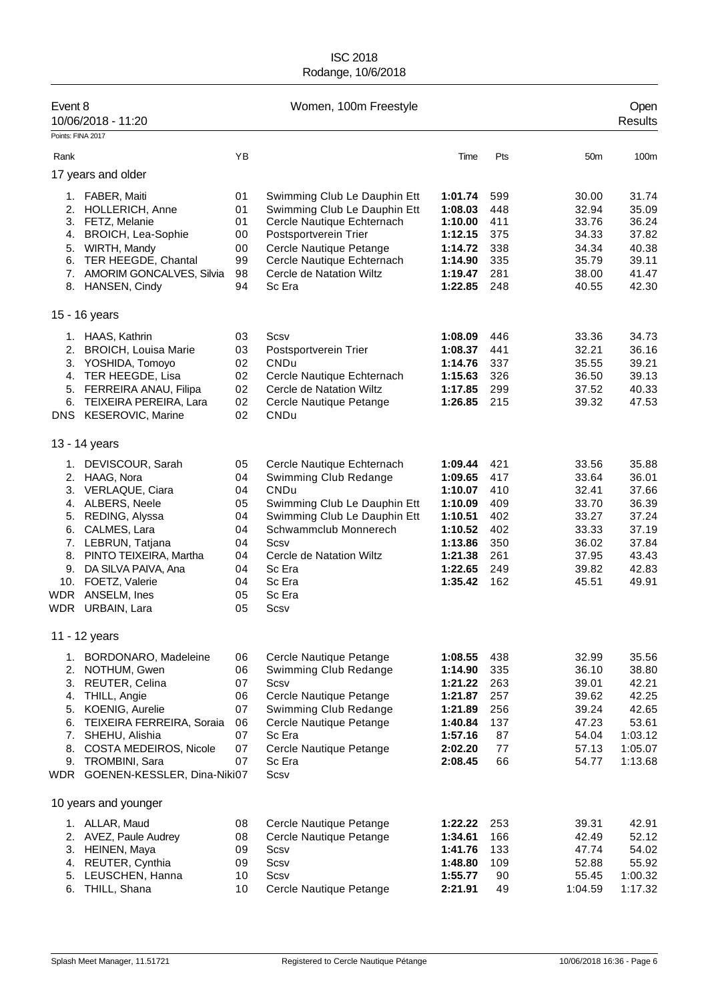| Event 8           | 10/06/2018 - 11:20              |    | Women, 100m Freestyle        |         |     |                 | Open<br><b>Results</b> |
|-------------------|---------------------------------|----|------------------------------|---------|-----|-----------------|------------------------|
| Points: FINA 2017 |                                 |    |                              |         |     |                 |                        |
| Rank              |                                 | YB |                              | Time    | Pts | 50 <sub>m</sub> | 100m                   |
|                   | 17 years and older              |    |                              |         |     |                 |                        |
|                   | 1. FABER, Maiti                 | 01 | Swimming Club Le Dauphin Ett | 1:01.74 | 599 | 30.00           | 31.74                  |
| 2.                | HOLLERICH, Anne                 | 01 | Swimming Club Le Dauphin Ett | 1:08.03 | 448 | 32.94           | 35.09                  |
|                   | 3. FETZ, Melanie                | 01 | Cercle Nautique Echternach   | 1:10.00 | 411 | 33.76           | 36.24                  |
| 4.                | <b>BROICH, Lea-Sophie</b>       | 00 | Postsportverein Trier        | 1:12.15 | 375 | 34.33           | 37.82                  |
| 5.                | WIRTH, Mandy                    | 00 | Cercle Nautique Petange      | 1:14.72 | 338 | 34.34           | 40.38                  |
|                   | 6. TER HEEGDE, Chantal          | 99 | Cercle Nautique Echternach   | 1:14.90 | 335 | 35.79           | 39.11                  |
|                   | 7. AMORIM GONCALVES, Silvia     | 98 | Cercle de Natation Wiltz     | 1:19.47 | 281 | 38.00           | 41.47                  |
|                   | 8. HANSEN, Cindy                | 94 | Sc Era                       | 1:22.85 | 248 | 40.55           | 42.30                  |
|                   | 15 - 16 years                   |    |                              |         |     |                 |                        |
|                   | 1. HAAS, Kathrin                | 03 | Scsv                         | 1:08.09 | 446 | 33.36           | 34.73                  |
|                   | 2. BROICH, Louisa Marie         | 03 | Postsportverein Trier        | 1:08.37 | 441 | 32.21           | 36.16                  |
|                   | 3. YOSHIDA, Tomoyo              | 02 | CNDu                         | 1:14.76 | 337 | 35.55           | 39.21                  |
|                   | 4. TER HEEGDE, Lisa             | 02 | Cercle Nautique Echternach   | 1:15.63 | 326 | 36.50           | 39.13                  |
|                   | 5. FERREIRA ANAU, Filipa        | 02 | Cercle de Natation Wiltz     | 1:17.85 | 299 | 37.52           | 40.33                  |
| 6.                | TEIXEIRA PEREIRA, Lara          | 02 | Cercle Nautique Petange      | 1:26.85 | 215 | 39.32           | 47.53                  |
|                   | DNS KESEROVIC, Marine           | 02 | CNDu                         |         |     |                 |                        |
|                   | 13 - 14 years                   |    |                              |         |     |                 |                        |
| 1.                | DEVISCOUR, Sarah                | 05 | Cercle Nautique Echternach   | 1:09.44 | 421 | 33.56           | 35.88                  |
| 2.                | HAAG, Nora                      | 04 | Swimming Club Redange        | 1:09.65 | 417 | 33.64           | 36.01                  |
| 3.                | VERLAQUE, Ciara                 | 04 | <b>CNDu</b>                  | 1:10.07 | 410 | 32.41           | 37.66                  |
|                   | 4. ALBERS, Neele                | 05 | Swimming Club Le Dauphin Ett | 1:10.09 | 409 | 33.70           | 36.39                  |
|                   | 5. REDING, Alyssa               | 04 | Swimming Club Le Dauphin Ett | 1:10.51 | 402 | 33.27           | 37.24                  |
| 6.                | CALMES, Lara                    | 04 | Schwammclub Monnerech        | 1:10.52 | 402 | 33.33           | 37.19                  |
|                   | 7. LEBRUN, Tatjana              | 04 | Scsv                         | 1:13.86 | 350 | 36.02           | 37.84                  |
|                   | 8. PINTO TEIXEIRA, Martha       | 04 | Cercle de Natation Wiltz     | 1:21.38 | 261 | 37.95           | 43.43                  |
| 9.                | DA SILVA PAIVA, Ana             | 04 | Sc Era                       | 1:22.65 | 249 | 39.82           | 42.83                  |
|                   | 10. FOETZ, Valerie              | 04 | Sc Era                       | 1:35.42 | 162 | 45.51           | 49.91                  |
| <b>WDR</b>        | ANSELM, Ines                    | 05 | Sc Era                       |         |     |                 |                        |
| WDR               | URBAIN, Lara                    | 05 | Scsv                         |         |     |                 |                        |
|                   | 11 - 12 years                   |    |                              |         |     |                 |                        |
| 1.                | BORDONARO, Madeleine            | 06 | Cercle Nautique Petange      | 1:08.55 | 438 | 32.99           | 35.56                  |
| 2.                | NOTHUM, Gwen                    | 06 | Swimming Club Redange        | 1:14.90 | 335 | 36.10           | 38.80                  |
| 3.                | REUTER, Celina                  | 07 | Scsv                         | 1:21.22 | 263 | 39.01           | 42.21                  |
| 4.                | THILL, Angie                    | 06 | Cercle Nautique Petange      | 1:21.87 | 257 | 39.62           | 42.25                  |
|                   | 5. KOENIG, Aurelie              | 07 | Swimming Club Redange        | 1:21.89 | 256 | 39.24           | 42.65                  |
| 6.                | TEIXEIRA FERREIRA, Soraia       | 06 | Cercle Nautique Petange      | 1:40.84 | 137 | 47.23           | 53.61                  |
|                   | 7. SHEHU, Alishia               | 07 | Sc Era                       | 1:57.16 | 87  | 54.04           | 1:03.12                |
| 8.                | COSTA MEDEIROS, Nicole          | 07 | Cercle Nautique Petange      | 2:02.20 | 77  | 57.13           | 1:05.07                |
| 9.                | TROMBINI, Sara                  | 07 | Sc Era                       | 2:08.45 | 66  | 54.77           | 1:13.68                |
|                   | WDR GOENEN-KESSLER, Dina-Niki07 |    | Scsv                         |         |     |                 |                        |
|                   | 10 years and younger            |    |                              |         |     |                 |                        |
|                   | 1. ALLAR, Maud                  | 08 | Cercle Nautique Petange      | 1:22.22 | 253 | 39.31           | 42.91                  |
|                   | 2. AVEZ, Paule Audrey           | 08 | Cercle Nautique Petange      | 1:34.61 | 166 | 42.49           | 52.12                  |
|                   | 3. HEINEN, Maya                 | 09 | Scsv                         | 1:41.76 | 133 | 47.74           | 54.02                  |
| 4.                | REUTER, Cynthia                 | 09 | Scsv                         | 1:48.80 | 109 | 52.88           | 55.92                  |
| 5.                | LEUSCHEN, Hanna                 | 10 | Scsv                         | 1:55.77 | 90  | 55.45           | 1:00.32                |
| 6.                | THILL, Shana                    | 10 | Cercle Nautique Petange      | 2:21.91 | 49  | 1:04.59         | 1:17.32                |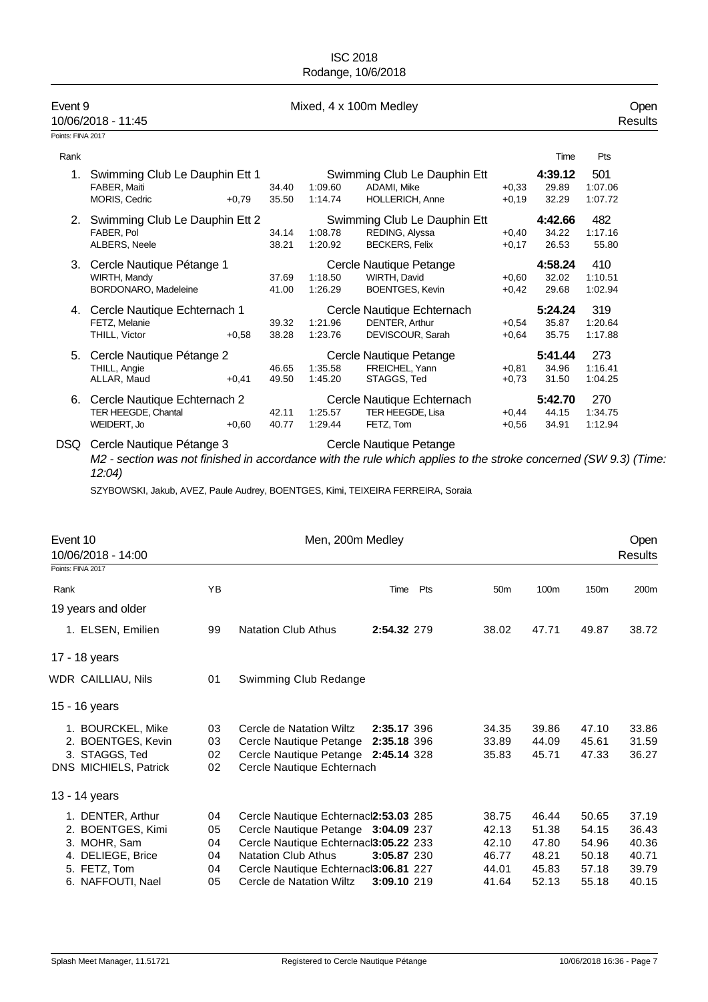| Event 9           | 10/06/2018 - 11:45                                                                |                | Mixed, 4 x 100m Medley |                                                                         |                    |                           |                           |  |
|-------------------|-----------------------------------------------------------------------------------|----------------|------------------------|-------------------------------------------------------------------------|--------------------|---------------------------|---------------------------|--|
| Points: FINA 2017 |                                                                                   |                |                        |                                                                         |                    |                           |                           |  |
| Rank              |                                                                                   |                |                        |                                                                         |                    | Time                      | Pts                       |  |
| 1.                | Swimming Club Le Dauphin Ett 1<br>FABER, Maiti<br><b>MORIS, Cedric</b><br>$+0.79$ | 34.40<br>35.50 | 1:09.60<br>1:14.74     | Swimming Club Le Dauphin Ett<br>ADAMI, Mike<br><b>HOLLERICH, Anne</b>   | $+0.33$<br>$+0.19$ | 4:39.12<br>29.89<br>32.29 | 501<br>1:07.06<br>1:07.72 |  |
| 2.                | Swimming Club Le Dauphin Ett 2<br>FABER. Pol<br>ALBERS, Neele                     | 34.14<br>38.21 | 1:08.78<br>1:20.92     | Swimming Club Le Dauphin Ett<br>REDING, Alyssa<br><b>BECKERS, Felix</b> | $+0,40$<br>$+0,17$ | 4:42.66<br>34.22<br>26.53 | 482<br>1:17.16<br>55.80   |  |
| 3.                | Cercle Nautique Pétange 1<br>WIRTH, Mandy<br>BORDONARO, Madeleine                 | 37.69<br>41.00 | 1:18.50<br>1:26.29     | Cercle Nautique Petange<br>WIRTH, David<br><b>BOENTGES, Kevin</b>       | $+0.60$<br>$+0.42$ | 4:58.24<br>32.02<br>29.68 | 410<br>1:10.51<br>1:02.94 |  |
| 4.                | Cercle Nautique Echternach 1<br>FETZ, Melanie<br>THILL, Victor<br>$+0.58$         | 39.32<br>38.28 | 1:21.96<br>1:23.76     | Cercle Nautique Echternach<br>DENTER, Arthur<br>DEVISCOUR, Sarah        | $+0.54$<br>$+0.64$ | 5:24.24<br>35.87<br>35.75 | 319<br>1:20.64<br>1:17.88 |  |
| 5.                | Cercle Nautique Pétange 2<br>THILL, Angie<br>ALLAR, Maud<br>$+0,41$               | 46.65<br>49.50 | 1:35.58<br>1:45.20     | Cercle Nautique Petange<br>FREICHEL, Yann<br>STAGGS, Ted                | $+0.81$<br>$+0.73$ | 5:41.44<br>34.96<br>31.50 | 273<br>1:16.41<br>1:04.25 |  |
| 6.                | Cercle Nautique Echternach 2<br>TER HEEGDE, Chantal<br>WEIDERT, Jo<br>$+0,60$     | 42.11<br>40.77 | 1:25.57<br>1:29.44     | Cercle Nautique Echternach<br>TER HEEGDE. Lisa<br>FETZ, Tom             | $+0.44$<br>$+0.56$ | 5:42.70<br>44.15<br>34.91 | 270<br>1:34.75<br>1:12.94 |  |

DSQ Cercle Nautique Pétange 3 Cercle Nautique Petange *M2 - section was not finished in accordance with the rule which applies to the stroke concerned (SW 9.3) (Time: 12:04)*

SZYBOWSKI, Jakub, AVEZ, Paule Audrey, BOENTGES, Kimi, TEIXEIRA FERREIRA, Soraia

| Event 10                                |    | Men, 200m Medley                      |             |     |                 |       |                  | Open    |
|-----------------------------------------|----|---------------------------------------|-------------|-----|-----------------|-------|------------------|---------|
| 10/06/2018 - 14:00<br>Points: FINA 2017 |    |                                       |             |     |                 |       |                  | Results |
|                                         |    |                                       |             |     |                 |       |                  |         |
| Rank                                    | YB |                                       | Time        | Pts | 50 <sub>m</sub> | 100m  | 150 <sub>m</sub> | 200m    |
| 19 years and older                      |    |                                       |             |     |                 |       |                  |         |
| 1. ELSEN, Emilien                       | 99 | <b>Natation Club Athus</b>            | 2:54.32 279 |     | 38.02           | 47.71 | 49.87            | 38.72   |
| 17 - 18 years                           |    |                                       |             |     |                 |       |                  |         |
| WDR CAILLIAU, Nils                      | 01 | Swimming Club Redange                 |             |     |                 |       |                  |         |
| 15 - 16 years                           |    |                                       |             |     |                 |       |                  |         |
| 1. BOURCKEL, Mike                       | 03 | Cercle de Natation Wiltz              | 2:35.17 396 |     | 34.35           | 39.86 | 47.10            | 33.86   |
| 2. BOENTGES, Kevin                      | 03 | Cercle Nautique Petange               | 2:35.18 396 |     | 33.89           | 44.09 | 45.61            | 31.59   |
| 3. STAGGS, Ted                          | 02 | Cercle Nautique Petange 2:45.14 328   |             |     | 35.83           | 45.71 | 47.33            | 36.27   |
| DNS MICHIELS, Patrick                   | 02 | Cercle Nautique Echternach            |             |     |                 |       |                  |         |
| 13 - 14 years                           |    |                                       |             |     |                 |       |                  |         |
| 1. DENTER, Arthur                       | 04 | Cercle Nautique Echternacl2:53.03 285 |             |     | 38.75           | 46.44 | 50.65            | 37.19   |
| 2. BOENTGES, Kimi                       | 05 | Cercle Nautique Petange 3:04.09 237   |             |     | 42.13           | 51.38 | 54.15            | 36.43   |
| 3. MOHR, Sam                            | 04 | Cercle Nautique Echternaci3:05.22 233 |             |     | 42.10           | 47.80 | 54.96            | 40.36   |
| 4. DELIEGE, Brice                       | 04 | <b>Natation Club Athus</b>            | 3:05.87 230 |     | 46.77           | 48.21 | 50.18            | 40.71   |
| 5. FETZ, Tom                            | 04 | Cercle Nautique Echternaci3:06.81 227 |             |     | 44.01           | 45.83 | 57.18            | 39.79   |
| 6. NAFFOUTI, Nael                       | 05 | Cercle de Natation Wiltz              | 3:09.10 219 |     | 41.64           | 52.13 | 55.18            | 40.15   |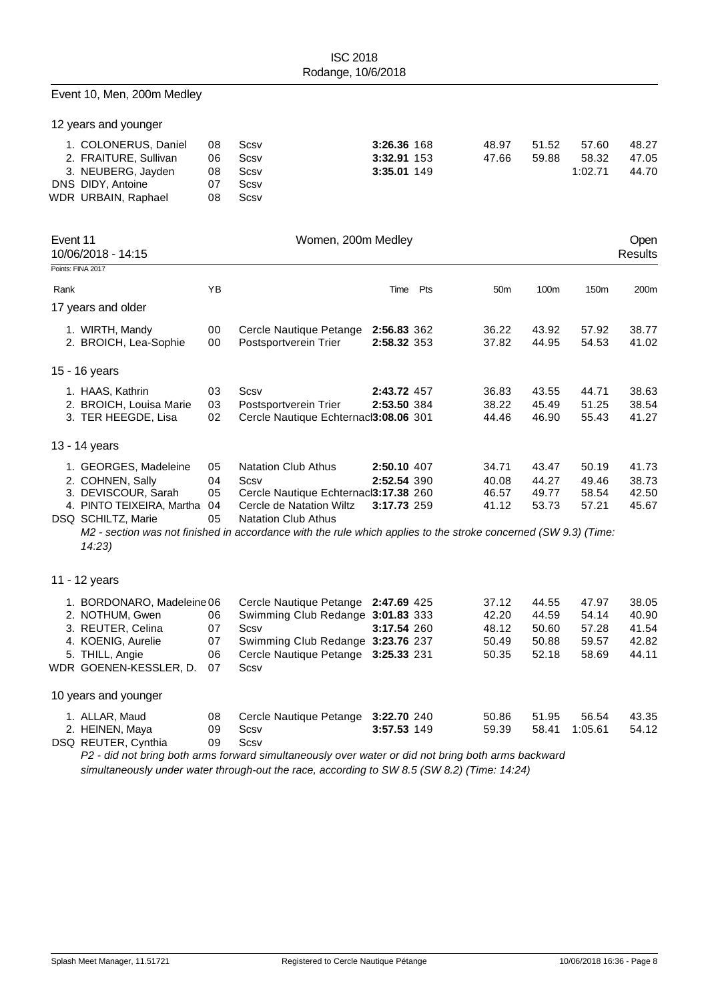## Event 10, Men, 200m Medley

12 years and younger

| 1. COLONERUS, Daniel  | 08  | Scsv | 3:26.36 168 | 48.97 | 51.52 | 57.60   | 48.27 |
|-----------------------|-----|------|-------------|-------|-------|---------|-------|
| 2. FRAITURE, Sullivan | 06. | Scsv | 3:32.91 153 | 47.66 | 59.88 | 58.32   | 47.05 |
| 3. NEUBERG, Jayden    | 08  | Scsv | 3:35.01 149 |       |       | 1:02.71 | 44.70 |
| DNS DIDY, Antoine     | 07  | Scsv |             |       |       |         |       |
| WDR URBAIN, Raphael   | 08  | Scsv |             |       |       |         |       |

| Event 11 | 10/06/2018 - 14:15         |    | Women, 200m Medley                                                                                              |             |     |                 |       |       | Open<br><b>Results</b> |
|----------|----------------------------|----|-----------------------------------------------------------------------------------------------------------------|-------------|-----|-----------------|-------|-------|------------------------|
|          | Points: FINA 2017          |    |                                                                                                                 |             |     |                 |       |       |                        |
| Rank     |                            | YB |                                                                                                                 | Time        | Pts | 50 <sub>m</sub> | 100m  | 150m  | 200m                   |
|          | 17 years and older         |    |                                                                                                                 |             |     |                 |       |       |                        |
|          | 1. WIRTH, Mandy            | 00 | Cercle Nautique Petange                                                                                         | 2:56.83 362 |     | 36.22           | 43.92 | 57.92 | 38.77                  |
|          | 2. BROICH, Lea-Sophie      | 00 | Postsportverein Trier                                                                                           | 2:58.32 353 |     | 37.82           | 44.95 | 54.53 | 41.02                  |
|          | 15 - 16 years              |    |                                                                                                                 |             |     |                 |       |       |                        |
|          | 1. HAAS, Kathrin           | 03 | Scsv                                                                                                            | 2:43.72 457 |     | 36.83           | 43.55 | 44.71 | 38.63                  |
|          | 2. BROICH, Louisa Marie    | 03 | Postsportverein Trier                                                                                           | 2:53.50 384 |     | 38.22           | 45.49 | 51.25 | 38.54                  |
|          | 3. TER HEEGDE, Lisa        | 02 | Cercle Nautique Echternacl3:08.06 301                                                                           |             |     | 44.46           | 46.90 | 55.43 | 41.27                  |
|          | 13 - 14 years              |    |                                                                                                                 |             |     |                 |       |       |                        |
|          | 1. GEORGES, Madeleine      | 05 | <b>Natation Club Athus</b>                                                                                      | 2:50.10 407 |     | 34.71           | 43.47 | 50.19 | 41.73                  |
|          | 2. COHNEN, Sally           | 04 | Scsv                                                                                                            | 2:52.54 390 |     | 40.08           | 44.27 | 49.46 | 38.73                  |
|          | 3. DEVISCOUR, Sarah        | 05 | Cercle Nautique Echternacl3:17.38 260                                                                           |             |     | 46.57           | 49.77 | 58.54 | 42.50                  |
|          | 4. PINTO TEIXEIRA, Martha  | 04 | Cercle de Natation Wiltz                                                                                        | 3:17.73 259 |     | 41.12           | 53.73 | 57.21 | 45.67                  |
|          | DSQ SCHILTZ, Marie         | 05 | <b>Natation Club Athus</b>                                                                                      |             |     |                 |       |       |                        |
|          | 14:23                      |    | M2 - section was not finished in accordance with the rule which applies to the stroke concerned (SW 9.3) (Time: |             |     |                 |       |       |                        |
|          | 11 - 12 years              |    |                                                                                                                 |             |     |                 |       |       |                        |
|          | 1. BORDONARO, Madeleine 06 |    | Cercle Nautique Petange 2:47.69 425                                                                             |             |     | 37.12           | 44.55 | 47.97 | 38.05                  |
|          | 2. NOTHUM, Gwen            | 06 | Swimming Club Redange 3:01.83 333                                                                               |             |     | 42.20           | 44.59 | 54.14 | 40.90                  |
|          | 3. REUTER, Celina          | 07 | Scsv                                                                                                            | 3:17.54 260 |     | 48.12           | 50.60 | 57.28 | 41.54                  |
|          | 4. KOENIG, Aurelie         | 07 | Swimming Club Redange 3:23.76 237                                                                               |             |     | 50.49           | 50.88 | 59.57 | 42.82                  |
|          | 5. THILL, Angie            | 06 | Cercle Nautique Petange 3:25.33 231                                                                             |             |     | 50.35           | 52.18 | 58.69 | 44.11                  |
|          | WDR GOENEN-KESSLER, D.     | 07 | Scsv                                                                                                            |             |     |                 |       |       |                        |
|          | 10 years and younger       |    |                                                                                                                 |             |     |                 |       |       |                        |
|          | 1. ALLAR, Maud             | 08 | Cercle Nautique Petange 3:22.70 240                                                                             |             |     | 50.86           | 51.95 | 56.54 | 43.35                  |
|          |                            |    |                                                                                                                 |             |     |                 |       |       |                        |

2. HEINEN, Maya 09 Scsv **3:57.53** 149 59.39 58.41 1:05.61 54.12<br>GQ REUTER, Cynthia 09 Scsv DSQ REUTER, Cynthia 09

*P2 - did not bring both arms forward simultaneously over water or did not bring both arms backward simultaneously under water through-out the race, according to SW 8.5 (SW 8.2) (Time: 14:24)*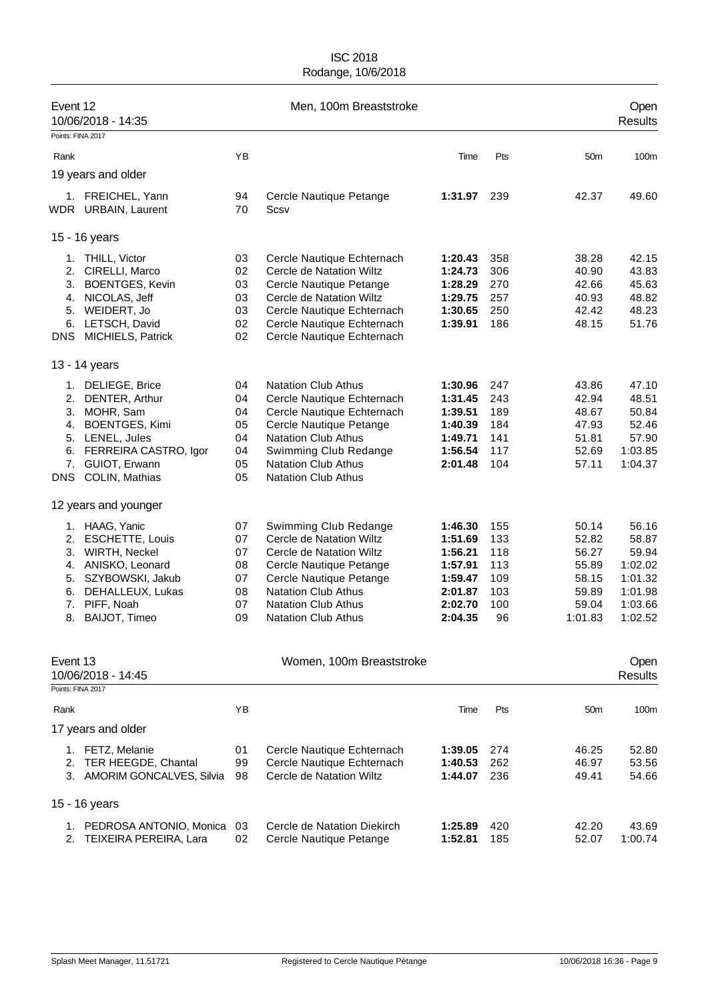| Event 12                               | 10/06/2018 - 14:35                                                                                                                                          |                                              | Men, 100m Breaststroke                                                                                                                                                                                                               |                                                                                      |                                                     |                                                                        | Open<br><b>Results</b>                                                         |
|----------------------------------------|-------------------------------------------------------------------------------------------------------------------------------------------------------------|----------------------------------------------|--------------------------------------------------------------------------------------------------------------------------------------------------------------------------------------------------------------------------------------|--------------------------------------------------------------------------------------|-----------------------------------------------------|------------------------------------------------------------------------|--------------------------------------------------------------------------------|
| Points: FINA 2017                      |                                                                                                                                                             |                                              |                                                                                                                                                                                                                                      |                                                                                      |                                                     |                                                                        |                                                                                |
| Rank                                   |                                                                                                                                                             | YB                                           |                                                                                                                                                                                                                                      | Time                                                                                 | Pts                                                 | 50m                                                                    | 100m                                                                           |
|                                        | 19 years and older                                                                                                                                          |                                              |                                                                                                                                                                                                                                      |                                                                                      |                                                     |                                                                        |                                                                                |
|                                        | 1. FREICHEL, Yann<br>WDR URBAIN, Laurent                                                                                                                    | 94<br>70                                     | Cercle Nautique Petange<br>Scsv                                                                                                                                                                                                      | 1:31.97                                                                              | 239                                                 | 42.37                                                                  | 49.60                                                                          |
|                                        | 15 - 16 years                                                                                                                                               |                                              |                                                                                                                                                                                                                                      |                                                                                      |                                                     |                                                                        |                                                                                |
| 3.<br>4.<br>5.<br>6.<br><b>DNS</b>     | 1. THILL, Victor<br>2. CIRELLI, Marco<br><b>BOENTGES, Kevin</b><br>NICOLAS, Jeff<br>WEIDERT, Jo<br>LETSCH, David<br>MICHIELS, Patrick                       | 03<br>02<br>03<br>03<br>03<br>02<br>02       | Cercle Nautique Echternach<br>Cercle de Natation Wiltz<br>Cercle Nautique Petange<br>Cercle de Natation Wiltz<br>Cercle Nautique Echternach<br>Cercle Nautique Echternach<br>Cercle Nautique Echternach                              | 1:20.43<br>1:24.73<br>1:28.29<br>1:29.75<br>1:30.65<br>1:39.91                       | 358<br>306<br>270<br>257<br>250<br>186              | 38.28<br>40.90<br>42.66<br>40.93<br>42.42<br>48.15                     | 42.15<br>43.83<br>45.63<br>48.82<br>48.23<br>51.76                             |
|                                        | 13 - 14 years                                                                                                                                               |                                              |                                                                                                                                                                                                                                      |                                                                                      |                                                     |                                                                        |                                                                                |
| 2.<br>3.<br>4.<br>6.<br><b>DNS</b>     | 1. DELIEGE, Brice<br>DENTER, Arthur<br>MOHR, Sam<br><b>BOENTGES, Kimi</b><br>5. LENEL, Jules<br>FERREIRA CASTRO, Igor<br>7. GUIOT, Erwann<br>COLIN, Mathias | 04<br>04<br>04<br>05<br>04<br>04<br>05<br>05 | <b>Natation Club Athus</b><br>Cercle Nautique Echternach<br>Cercle Nautique Echternach<br>Cercle Nautique Petange<br><b>Natation Club Athus</b><br>Swimming Club Redange<br><b>Natation Club Athus</b><br><b>Natation Club Athus</b> | 1:30.96<br>1:31.45<br>1:39.51<br>1:40.39<br>1:49.71<br>1:56.54<br>2:01.48            | 247<br>243<br>189<br>184<br>141<br>117<br>104       | 43.86<br>42.94<br>48.67<br>47.93<br>51.81<br>52.69<br>57.11            | 47.10<br>48.51<br>50.84<br>52.46<br>57.90<br>1:03.85<br>1:04.37                |
|                                        | 12 years and younger                                                                                                                                        |                                              |                                                                                                                                                                                                                                      |                                                                                      |                                                     |                                                                        |                                                                                |
| 2.<br>3.<br>4.<br>5.<br>6.<br>7.<br>8. | 1. HAAG, Yanic<br><b>ESCHETTE, Louis</b><br>WIRTH, Neckel<br>ANISKO, Leonard<br>SZYBOWSKI, Jakub<br>DEHALLEUX, Lukas<br>PIFF, Noah<br>BAIJOT, Timeo         | 07<br>07<br>07<br>08<br>07<br>08<br>07<br>09 | Swimming Club Redange<br>Cercle de Natation Wiltz<br>Cercle de Natation Wiltz<br>Cercle Nautique Petange<br>Cercle Nautique Petange<br><b>Natation Club Athus</b><br><b>Natation Club Athus</b><br><b>Natation Club Athus</b>        | 1:46.30<br>1:51.69<br>1:56.21<br>1:57.91<br>1:59.47<br>2:01.87<br>2:02.70<br>2:04.35 | 155<br>133<br>118<br>113<br>109<br>103<br>100<br>96 | 50.14<br>52.82<br>56.27<br>55.89<br>58.15<br>59.89<br>59.04<br>1:01.83 | 56.16<br>58.87<br>59.94<br>1:02.02<br>1:01.32<br>1:01.98<br>1:03.66<br>1:02.52 |
| Event 13<br>Points: FINA 2017          | 10/06/2018 - 14:45                                                                                                                                          |                                              | Women, 100m Breaststroke                                                                                                                                                                                                             |                                                                                      |                                                     |                                                                        | Open<br><b>Results</b>                                                         |
|                                        |                                                                                                                                                             | YB                                           |                                                                                                                                                                                                                                      |                                                                                      | Pts                                                 | 50 <sub>m</sub>                                                        |                                                                                |
| Rank                                   | 17 years and older                                                                                                                                          |                                              |                                                                                                                                                                                                                                      | Time                                                                                 |                                                     |                                                                        | 100m                                                                           |
| 2.<br>3.                               | 1. FETZ, Melanie<br>TER HEEGDE, Chantal<br><b>AMORIM GONCALVES, Silvia</b>                                                                                  | 01<br>99<br>98                               | Cercle Nautique Echternach<br>Cercle Nautique Echternach<br>Cercle de Natation Wiltz                                                                                                                                                 | 1:39.05<br>1:40.53<br>1:44.07                                                        | 274<br>262<br>236                                   | 46.25<br>46.97<br>49.41                                                | 52.80<br>53.56<br>54.66                                                        |
|                                        | 15 - 16 years                                                                                                                                               |                                              |                                                                                                                                                                                                                                      |                                                                                      |                                                     |                                                                        |                                                                                |
| 1.<br>2.                               | PEDROSA ANTONIO, Monica<br>TEIXEIRA PEREIRA, Lara                                                                                                           | 03<br>02                                     | Cercle de Natation Diekirch<br>Cercle Nautique Petange                                                                                                                                                                               | 1:25.89<br>1:52.81                                                                   | 420<br>185                                          | 42.20<br>52.07                                                         | 43.69<br>1:00.74                                                               |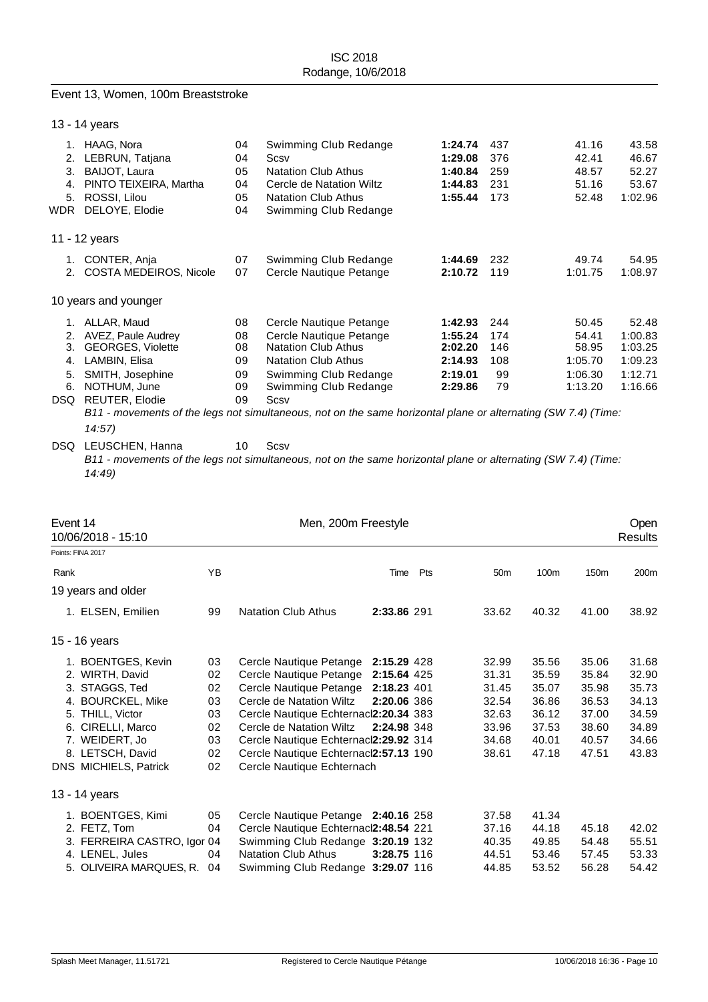#### Event 13, Women, 100m Breaststroke

|                                          | 13 - 14 years                                                                                                                                         |                                        |                                                                                                                                                                                                                                                                                           |                                                                |                                      |                                                          |                                                              |
|------------------------------------------|-------------------------------------------------------------------------------------------------------------------------------------------------------|----------------------------------------|-------------------------------------------------------------------------------------------------------------------------------------------------------------------------------------------------------------------------------------------------------------------------------------------|----------------------------------------------------------------|--------------------------------------|----------------------------------------------------------|--------------------------------------------------------------|
| 1.<br>2.<br>3.<br>4.<br>5.<br><b>WDR</b> | HAAG, Nora<br>LEBRUN, Tatjana<br>BAIJOT, Laura<br>PINTO TEIXEIRA, Martha<br>ROSSI, Lilou<br>DELOYE, Elodie                                            | 04<br>04<br>05<br>04<br>05<br>04       | Swimming Club Redange<br>Scsv<br><b>Natation Club Athus</b><br>Cercle de Natation Wiltz<br><b>Natation Club Athus</b><br>Swimming Club Redange                                                                                                                                            | 1:24.74<br>1:29.08<br>1:40.84<br>1:44.83<br>1:55.44            | 437<br>376<br>259<br>231<br>173      | 41.16<br>42.41<br>48.57<br>51.16<br>52.48                | 43.58<br>46.67<br>52.27<br>53.67<br>1:02.96                  |
|                                          | 11 - 12 years                                                                                                                                         |                                        |                                                                                                                                                                                                                                                                                           |                                                                |                                      |                                                          |                                                              |
| 1.<br>2.                                 | CONTER, Anja<br>COSTA MEDEIROS, Nicole                                                                                                                | 07<br>07                               | Swimming Club Redange<br>Cercle Nautique Petange                                                                                                                                                                                                                                          | 1:44.69<br>2:10.72                                             | 232<br>119                           | 49.74<br>1:01.75                                         | 54.95<br>1:08.97                                             |
|                                          | 10 years and younger                                                                                                                                  |                                        |                                                                                                                                                                                                                                                                                           |                                                                |                                      |                                                          |                                                              |
| 1.<br>2.<br>3.<br>4.<br>5.<br>6.<br>DSQ. | ALLAR, Maud<br>AVEZ, Paule Audrey<br><b>GEORGES, Violette</b><br>LAMBIN, Elisa<br>SMITH, Josephine<br>NOTHUM, June<br><b>REUTER, Elodie</b><br>14:57) | 08<br>08<br>08<br>09<br>09<br>09<br>09 | Cercle Nautique Petange<br>Cercle Nautique Petange<br><b>Natation Club Athus</b><br><b>Natation Club Athus</b><br>Swimming Club Redange<br>Swimming Club Redange<br>Scsv<br>B11 - movements of the legs not simultaneous, not on the same horizontal plane or alternating (SW 7.4) (Time: | 1:42.93<br>1:55.24<br>2:02.20<br>2:14.93<br>2:19.01<br>2:29.86 | 244<br>174<br>146<br>108<br>99<br>79 | 50.45<br>54.41<br>58.95<br>1:05.70<br>1:06.30<br>1:13.20 | 52.48<br>1:00.83<br>1:03.25<br>1:09.23<br>1:12.71<br>1:16.66 |

#### DSQ LEUSCHEN, Hanna 10 Scsv *B11 - movements of the legs not simultaneous, not on the same horizontal plane or alternating (SW 7.4) (Time: 14:49)*

| Event 14<br>10/06/2018 - 15:10 |    | Men, 200m Freestyle                   |             |     |                 |       |                  | <b>Open</b><br><b>Results</b> |
|--------------------------------|----|---------------------------------------|-------------|-----|-----------------|-------|------------------|-------------------------------|
| Points: FINA 2017              |    |                                       |             |     |                 |       |                  |                               |
| Rank                           | ΥB |                                       | Time        | Pts | 50 <sub>m</sub> | 100m  | 150 <sub>m</sub> | 200m                          |
| 19 years and older             |    |                                       |             |     |                 |       |                  |                               |
| 1. ELSEN, Emilien              | 99 | <b>Natation Club Athus</b>            | 2:33.86 291 |     | 33.62           | 40.32 | 41.00            | 38.92                         |
| 15 - 16 years                  |    |                                       |             |     |                 |       |                  |                               |
| 1. BOENTGES, Kevin             | 03 | Cercle Nautique Petange 2:15.29 428   |             |     | 32.99           | 35.56 | 35.06            | 31.68                         |
| 2. WIRTH, David                | 02 | Cercle Nautique Petange               | 2:15.64 425 |     | 31.31           | 35.59 | 35.84            | 32.90                         |
| 3. STAGGS, Ted                 | 02 | Cercle Nautique Petange 2:18.23 401   |             |     | 31.45           | 35.07 | 35.98            | 35.73                         |
| 4. BOURCKEL, Mike              | 03 | Cercle de Natation Wiltz              | 2:20.06 386 |     | 32.54           | 36.86 | 36.53            | 34.13                         |
| 5. THILL, Victor               | 03 | Cercle Nautique Echternacl2:20.34 383 |             |     | 32.63           | 36.12 | 37.00            | 34.59                         |
| 6. CIRELLI, Marco              | 02 | Cercle de Natation Wiltz              | 2:24.98 348 |     | 33.96           | 37.53 | 38.60            | 34.89                         |
| 7. WEIDERT, Jo                 | 03 | Cercle Nautique Echternacl2:29.92 314 |             |     | 34.68           | 40.01 | 40.57            | 34.66                         |
| 8. LETSCH, David               | 02 | Cercle Nautique Echternacl2:57.13 190 |             |     | 38.61           | 47.18 | 47.51            | 43.83                         |
| DNS MICHIELS, Patrick          | 02 | Cercle Nautique Echternach            |             |     |                 |       |                  |                               |
| 13 - 14 years                  |    |                                       |             |     |                 |       |                  |                               |
| 1. BOENTGES, Kimi              | 05 | Cercle Nautique Petange 2:40.16 258   |             |     | 37.58           | 41.34 |                  |                               |
| 2. FETZ, Tom                   | 04 | Cercle Nautique Echternacl2:48.54 221 |             |     | 37.16           | 44.18 | 45.18            | 42.02                         |
| 3. FERREIRA CASTRO, Igor 04    |    | Swimming Club Redange 3:20.19 132     |             |     | 40.35           | 49.85 | 54.48            | 55.51                         |
| 4. LENEL, Jules                | 04 | <b>Natation Club Athus</b>            | 3:28.75 116 |     | 44.51           | 53.46 | 57.45            | 53.33                         |
| 5. OLIVEIRA MARQUES, R.        | 04 | Swimming Club Redange 3:29.07 116     |             |     | 44.85           | 53.52 | 56.28            | 54.42                         |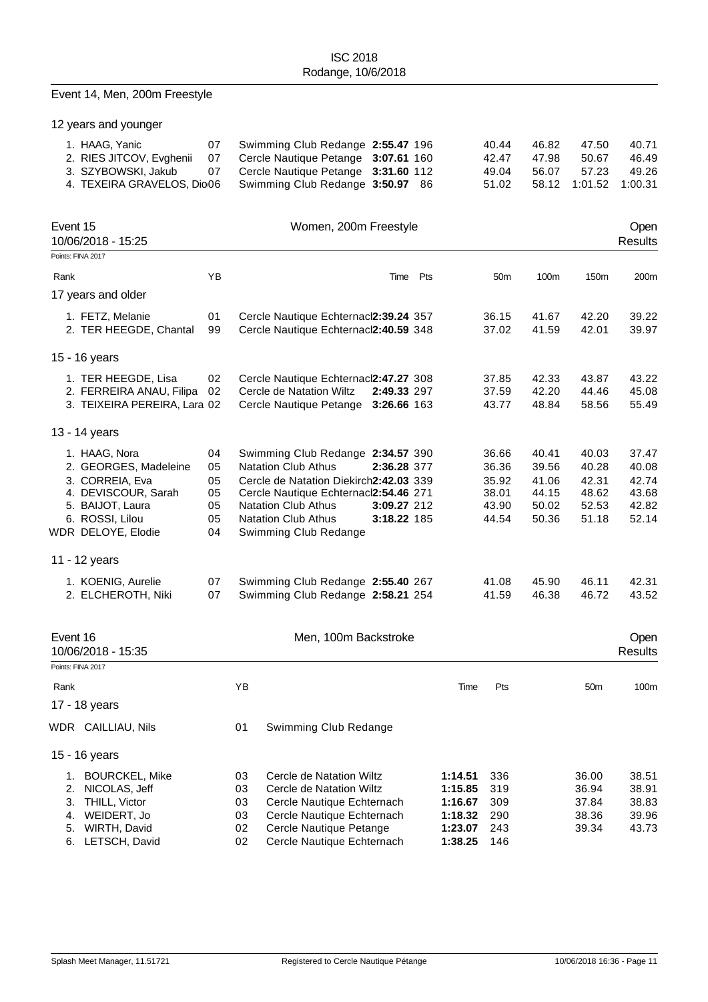# Event 14, Men, 200m Freestyle

12 years and younger

| 1. HAAG, Yanic             | 07 Swimming Club Redange 2:55.47 196   |  | 40.44 | 46.82 | 47.50                                | 40.71 |
|----------------------------|----------------------------------------|--|-------|-------|--------------------------------------|-------|
| 2. RIES JITCOV, Evghenii   | 07 Cercle Nautique Petange 3:07.61 160 |  | 42.47 | 47.98 | 50.67                                | 46.49 |
| 3. SZYBOWSKI, Jakub        | 07 Cercle Nautique Petange 3:31.60 112 |  | 49.04 | 56.07 | 57.23                                | 49.26 |
| 4. TEXEIRA GRAVELOS, Dio06 | Swimming Club Redange 3:50.97 86       |  |       |       | 51.02    58.12    1:01.52    1:00.31 |       |

| Event 15<br>Women, 200m Freestyle<br>10/06/2018 - 15:25                                                                                       |                                        |                                                                                                                                                                                                                                                                                      |          |                                                    |                                                    |                                                    | Open<br><b>Results</b>                             |  |  |  |  |
|-----------------------------------------------------------------------------------------------------------------------------------------------|----------------------------------------|--------------------------------------------------------------------------------------------------------------------------------------------------------------------------------------------------------------------------------------------------------------------------------------|----------|----------------------------------------------------|----------------------------------------------------|----------------------------------------------------|----------------------------------------------------|--|--|--|--|
| Points: FINA 2017                                                                                                                             |                                        |                                                                                                                                                                                                                                                                                      |          |                                                    |                                                    |                                                    |                                                    |  |  |  |  |
| Rank                                                                                                                                          | YB                                     |                                                                                                                                                                                                                                                                                      | Time Pts | 50 <sub>m</sub>                                    | 100m                                               | 150 <sub>m</sub>                                   | 200m                                               |  |  |  |  |
| 17 years and older                                                                                                                            |                                        |                                                                                                                                                                                                                                                                                      |          |                                                    |                                                    |                                                    |                                                    |  |  |  |  |
| 1. FETZ, Melanie<br>2. TER HEEGDE, Chantal                                                                                                    | 01<br>99                               | Cercle Nautique Echternacl2:39.24 357<br>Cercle Nautique Echternacl2:40.59 348                                                                                                                                                                                                       |          | 36.15<br>37.02                                     | 41.67<br>41.59                                     | 42.20<br>42.01                                     | 39.22<br>39.97                                     |  |  |  |  |
| 15 - 16 years                                                                                                                                 |                                        |                                                                                                                                                                                                                                                                                      |          |                                                    |                                                    |                                                    |                                                    |  |  |  |  |
| 1. TER HEEGDE, Lisa<br>2. FERREIRA ANAU, Filipa<br>3. TEIXEIRA PEREIRA, Lara 02                                                               | 02<br>02                               | Cercle Nautique Echternacl2:47.27 308<br>Cercle de Natation Wiltz<br>2:49.33 297<br>Cercle Nautique Petange 3:26.66 163                                                                                                                                                              |          | 37.85<br>37.59<br>43.77                            | 42.33<br>42.20<br>48.84                            | 43.87<br>44.46<br>58.56                            | 43.22<br>45.08<br>55.49                            |  |  |  |  |
| 13 - 14 years                                                                                                                                 |                                        |                                                                                                                                                                                                                                                                                      |          |                                                    |                                                    |                                                    |                                                    |  |  |  |  |
| 1. HAAG, Nora<br>2. GEORGES, Madeleine<br>3. CORREIA, Eva<br>4. DEVISCOUR, Sarah<br>5. BAIJOT, Laura<br>6. ROSSI, Lilou<br>WDR DELOYE, Elodie | 04<br>05<br>05<br>05<br>05<br>05<br>04 | Swimming Club Redange 2:34.57 390<br><b>Natation Club Athus</b><br>2:36.28 377<br>Cercle de Natation Diekirch2:42.03 339<br>Cercle Nautique Echternacl2:54.46 271<br><b>Natation Club Athus</b><br>3:09.27 212<br><b>Natation Club Athus</b><br>3:18.22 185<br>Swimming Club Redange |          | 36.66<br>36.36<br>35.92<br>38.01<br>43.90<br>44.54 | 40.41<br>39.56<br>41.06<br>44.15<br>50.02<br>50.36 | 40.03<br>40.28<br>42.31<br>48.62<br>52.53<br>51.18 | 37.47<br>40.08<br>42.74<br>43.68<br>42.82<br>52.14 |  |  |  |  |
| 11 - 12 years                                                                                                                                 |                                        |                                                                                                                                                                                                                                                                                      |          |                                                    |                                                    |                                                    |                                                    |  |  |  |  |
| 1. KOENIG, Aurelie<br>2. ELCHEROTH, Niki                                                                                                      | 07<br>07                               | Swimming Club Redange 2:55.40 267<br>Swimming Club Redange 2:58.21 254                                                                                                                                                                                                               |          | 41.08<br>41.59                                     | 45.90<br>46.38                                     | 46.11<br>46.72                                     | 42.31<br>43.52                                     |  |  |  |  |
| Event 16<br>10/06/2018 - 15:35<br>Points: FINA 2017                                                                                           |                                        | Men, 100m Backstroke                                                                                                                                                                                                                                                                 |          |                                                    |                                                    |                                                    | Open<br><b>Results</b>                             |  |  |  |  |

|      | Points: FINA 2017     |    |                            |         |     |                 |       |
|------|-----------------------|----|----------------------------|---------|-----|-----------------|-------|
| Rank |                       | ΥB |                            | Time    | Pts | 50 <sub>m</sub> | 100m  |
|      | 17 - 18 years         |    |                            |         |     |                 |       |
|      | WDR CAILLIAU, Nils    | 01 | Swimming Club Redange      |         |     |                 |       |
|      | 15 - 16 years         |    |                            |         |     |                 |       |
| 1.   | <b>BOURCKEL, Mike</b> | 03 | Cercle de Natation Wiltz   | 1:14.51 | 336 | 36.00           | 38.51 |
| 2.   | NICOLAS, Jeff         | 03 | Cercle de Natation Wiltz   | 1:15.85 | 319 | 36.94           | 38.91 |
| 3.   | THILL, Victor         | 03 | Cercle Nautique Echternach | 1:16.67 | 309 | 37.84           | 38.83 |
| 4.   | WEIDERT, Jo           | 03 | Cercle Nautique Echternach | 1:18.32 | 290 | 38.36           | 39.96 |
| 5.   | WIRTH, David          | 02 | Cercle Nautique Petange    | 1:23.07 | 243 | 39.34           | 43.73 |
| 6.   | LETSCH, David         | 02 | Cercle Nautique Echternach | 1:38.25 | 146 |                 |       |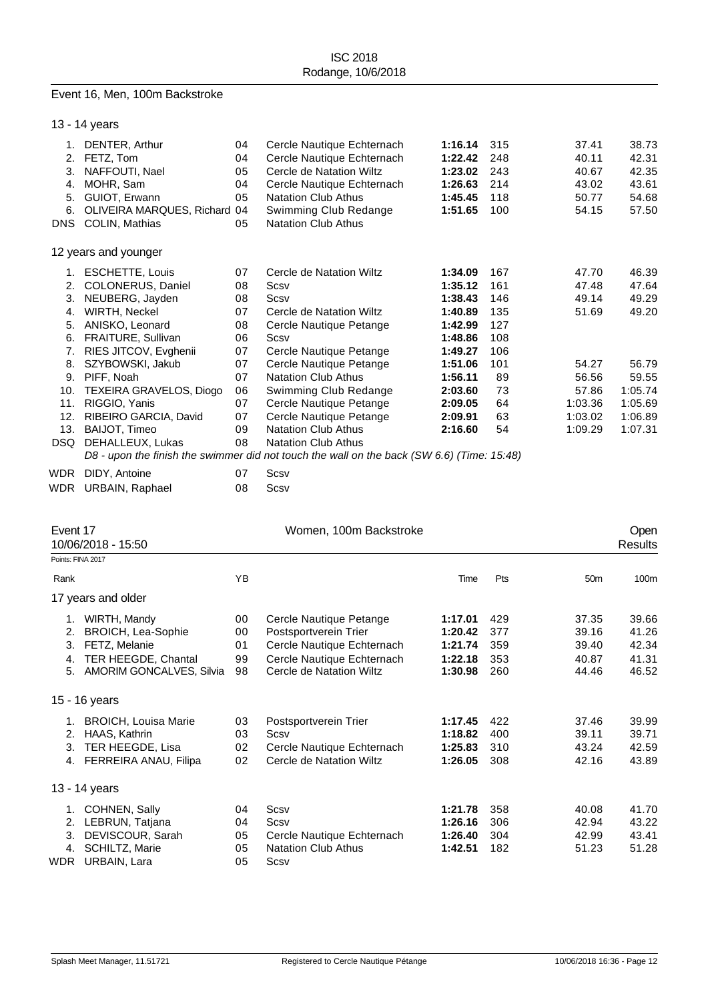#### Event 16, Men, 100m Backstroke

|            | 13 - 14 years                  |    |                                                                                            |         |     |         |         |
|------------|--------------------------------|----|--------------------------------------------------------------------------------------------|---------|-----|---------|---------|
|            | 1. DENTER, Arthur              | 04 | Cercle Nautique Echternach                                                                 | 1:16.14 | 315 | 37.41   | 38.73   |
| 2.         | FETZ, Tom                      | 04 | Cercle Nautique Echternach                                                                 | 1:22.42 | 248 | 40.11   | 42.31   |
| 3.         | NAFFOUTI, Nael                 | 05 | Cercle de Natation Wiltz                                                                   | 1:23.02 | 243 | 40.67   | 42.35   |
| 4.         | MOHR, Sam                      | 04 | Cercle Nautique Echternach                                                                 | 1:26.63 | 214 | 43.02   | 43.61   |
| 5.         | GUIOT, Erwann                  | 05 | <b>Natation Club Athus</b>                                                                 | 1:45.45 | 118 | 50.77   | 54.68   |
| 6.         | OLIVEIRA MARQUES, Richard 04   |    | Swimming Club Redange                                                                      | 1:51.65 | 100 | 54.15   | 57.50   |
|            | DNS COLIN, Mathias             | 05 | <b>Natation Club Athus</b>                                                                 |         |     |         |         |
|            | 12 years and younger           |    |                                                                                            |         |     |         |         |
| 1.         | <b>ESCHETTE, Louis</b>         | 07 | Cercle de Natation Wiltz                                                                   | 1:34.09 | 167 | 47.70   | 46.39   |
| 2.         | COLONERUS, Daniel              | 08 | Scsv                                                                                       | 1:35.12 | 161 | 47.48   | 47.64   |
| 3.         | NEUBERG, Jayden                | 08 | Scsv                                                                                       | 1:38.43 | 146 | 49.14   | 49.29   |
| 4.         | WIRTH, Neckel                  | 07 | Cercle de Natation Wiltz                                                                   | 1:40.89 | 135 | 51.69   | 49.20   |
| 5.         | ANISKO, Leonard                | 08 | Cercle Nautique Petange                                                                    | 1:42.99 | 127 |         |         |
| 6.         | FRAITURE, Sullivan             | 06 | Scsv                                                                                       | 1:48.86 | 108 |         |         |
| 7.         | RIES JITCOV, Evghenii          | 07 | Cercle Nautique Petange                                                                    | 1:49.27 | 106 |         |         |
| 8.         | SZYBOWSKI, Jakub               | 07 | Cercle Nautique Petange                                                                    | 1:51.06 | 101 | 54.27   | 56.79   |
| 9.         | PIFF, Noah                     | 07 | <b>Natation Club Athus</b>                                                                 | 1:56.11 | 89  | 56.56   | 59.55   |
| 10.        | <b>TEXEIRA GRAVELOS, Diogo</b> | 06 | Swimming Club Redange                                                                      | 2:03.60 | 73  | 57.86   | 1:05.74 |
| 11.        | RIGGIO, Yanis                  | 07 | Cercle Nautique Petange                                                                    | 2:09.05 | 64  | 1:03.36 | 1:05.69 |
| 12.        | RIBEIRO GARCIA, David          | 07 | Cercle Nautique Petange                                                                    | 2:09.91 | 63  | 1:03.02 | 1:06.89 |
| 13.        | BAIJOT, Timeo                  | 09 | <b>Natation Club Athus</b>                                                                 | 2:16.60 | 54  | 1:09.29 | 1:07.31 |
| DSQ        | DEHALLEUX, Lukas               | 08 | <b>Natation Club Athus</b>                                                                 |         |     |         |         |
|            |                                |    | D8 - upon the finish the swimmer did not touch the wall on the back (SW 6.6) (Time: 15:48) |         |     |         |         |
| <b>WDR</b> | DIDY, Antoine                  | 07 | Scsv                                                                                       |         |     |         |         |
| WDR        | URBAIN, Raphael                | 08 | Scsv                                                                                       |         |     |         |         |

| Event 17<br>10/06/2018 - 15:50 |                                                                                                                         |                            | Women, 100m Backstroke                                                                                                                   |                                                     |                                 |                                           |                                           |  |  |
|--------------------------------|-------------------------------------------------------------------------------------------------------------------------|----------------------------|------------------------------------------------------------------------------------------------------------------------------------------|-----------------------------------------------------|---------------------------------|-------------------------------------------|-------------------------------------------|--|--|
| Points: FINA 2017              |                                                                                                                         |                            |                                                                                                                                          |                                                     |                                 |                                           |                                           |  |  |
| Rank                           |                                                                                                                         | ΥB                         |                                                                                                                                          | Time                                                | Pts                             | 50 <sub>m</sub>                           | 100m                                      |  |  |
|                                | 17 years and older                                                                                                      |                            |                                                                                                                                          |                                                     |                                 |                                           |                                           |  |  |
| 2.<br>3.<br>4.<br>5.           | 1. WIRTH, Mandy<br><b>BROICH, Lea-Sophie</b><br>FETZ, Melanie<br>TER HEEGDE, Chantal<br><b>AMORIM GONCALVES, Silvia</b> | 00<br>00<br>01<br>99<br>98 | Cercle Nautique Petange<br>Postsportverein Trier<br>Cercle Nautique Echternach<br>Cercle Nautique Echternach<br>Cercle de Natation Wiltz | 1:17.01<br>1:20.42<br>1:21.74<br>1:22.18<br>1:30.98 | 429<br>377<br>359<br>353<br>260 | 37.35<br>39.16<br>39.40<br>40.87<br>44.46 | 39.66<br>41.26<br>42.34<br>41.31<br>46.52 |  |  |
|                                | 15 - 16 years                                                                                                           |                            |                                                                                                                                          |                                                     |                                 |                                           |                                           |  |  |
| 1.<br>2.<br>3.<br>4.           | <b>BROICH, Louisa Marie</b><br>HAAS, Kathrin<br>TER HEEGDE, Lisa<br>FERREIRA ANAU, Filipa                               | 03<br>03<br>02<br>02       | Postsportverein Trier<br>Scsv<br>Cercle Nautique Echternach<br>Cercle de Natation Wiltz                                                  | 1:17.45<br>1:18.82<br>1:25.83<br>1:26.05            | 422<br>400<br>310<br>308        | 37.46<br>39.11<br>43.24<br>42.16          | 39.99<br>39.71<br>42.59<br>43.89          |  |  |
|                                | 13 - 14 years                                                                                                           |                            |                                                                                                                                          |                                                     |                                 |                                           |                                           |  |  |
| 2.<br>3.<br>4.<br>WDR          | 1. COHNEN, Sally<br>LEBRUN, Tatjana<br>DEVISCOUR, Sarah<br>SCHILTZ, Marie<br>URBAIN, Lara                               | 04<br>04<br>05<br>05<br>05 | Scsv<br>Scsv<br>Cercle Nautique Echternach<br><b>Natation Club Athus</b><br>Scsv                                                         | 1:21.78<br>1:26.16<br>1:26.40<br>1:42.51            | 358<br>306<br>304<br>182        | 40.08<br>42.94<br>42.99<br>51.23          | 41.70<br>43.22<br>43.41<br>51.28          |  |  |